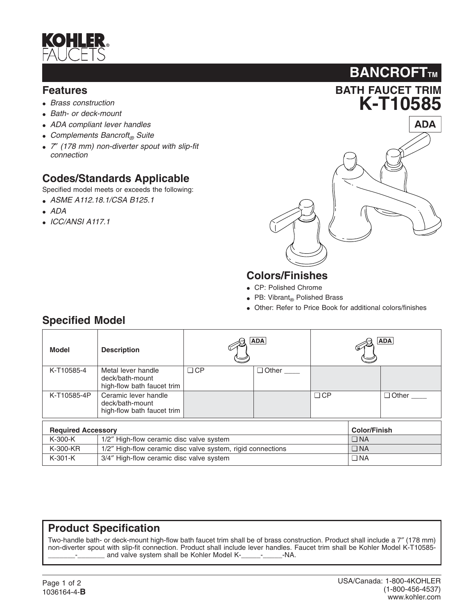

#### **Features**

- *Brass construction*
- *Bath- or deck-mount*
- *ADA compliant lever handles*
- *Complements Bancroft® Suite*
- *7*″ *(178 mm) non-diverter spout with slip-fit connection*

### **Codes/Standards Applicable**

Specified model meets or exceeds the following:

- *ASME A112.18.1/CSA B125.1*
- *ADA*
- *ICC/ANSI A117.1*



**BANCROFTTM** 

# **Colors/Finishes**

- CP: Polished Chrome
- PB: Vibrant $_{\circledcirc}$  Polished Brass
- Other: Refer to Price Book for additional colors/finishes

# **Specified Model**

| Model                                            | <b>Description</b>                                                    |           | <b>ADA</b>   |           |           | <b>ADA</b>   |
|--------------------------------------------------|-----------------------------------------------------------------------|-----------|--------------|-----------|-----------|--------------|
| K-T10585-4                                       | Metal lever handle<br>deck/bath-mount<br>high-flow bath faucet trim   | $\Box$ CP | $\Box$ Other |           |           |              |
| K-T10585-4P                                      | Ceramic lever handle<br>deck/bath-mount<br>high-flow bath faucet trim |           |              | $\Box$ CP |           | $\Box$ Other |
| <b>Required Accessory</b><br><b>Color/Finish</b> |                                                                       |           |              |           |           |              |
| K-300-K                                          | 1/2" High-flow ceramic disc valve system                              |           |              |           | $\Box$ NA |              |
| K-300-KR                                         | 1/2" High-flow ceramic disc valve system, rigid connections           |           |              |           | $\Box$ NA |              |
| $K-301-K$                                        | 3/4" High-flow ceramic disc valve system                              |           |              |           | $\Box$ NA |              |

### **Product Specification**

Two-handle bath- or deck-mount high-flow bath faucet trim shall be of brass construction. Product shall include a 7″ (178 mm) non-diverter spout with slip-fit connection. Product shall include lever handles. Faucet trim shall be Kohler Model K-T10585 and valve system shall be Kohler Model K-